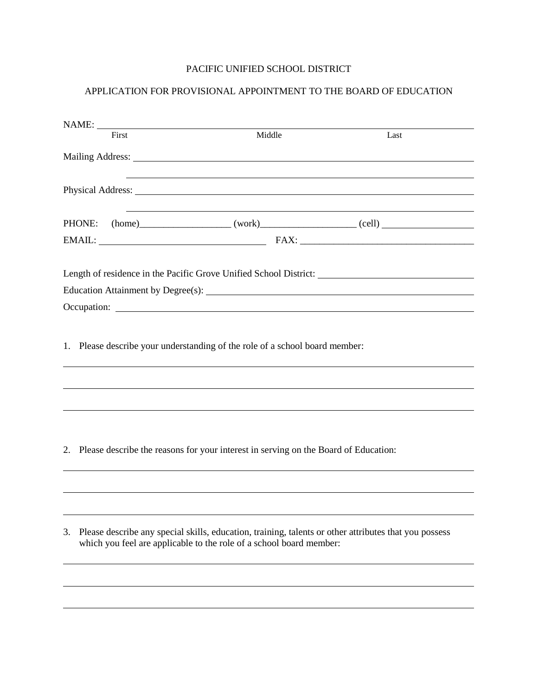## PACIFIC UNIFIED SCHOOL DISTRICT

## APPLICATION FOR PROVISIONAL APPOINTMENT TO THE BOARD OF EDUCATION

|    | NAME:  |                                                                                        |                                                                                                                                                                                                                                     |  |
|----|--------|----------------------------------------------------------------------------------------|-------------------------------------------------------------------------------------------------------------------------------------------------------------------------------------------------------------------------------------|--|
|    | First  | Middle                                                                                 | Last                                                                                                                                                                                                                                |  |
|    |        |                                                                                        |                                                                                                                                                                                                                                     |  |
|    |        |                                                                                        | Physical Address: No. 2014. The Contract of the Contract of the Contract of the Contract of the Contract of the Contract of the Contract of the Contract of the Contract of the Contract of the Contract of the Contract of th      |  |
|    | PHONE: |                                                                                        | $(home)$ (home) (work) (work) (cell)                                                                                                                                                                                                |  |
|    |        |                                                                                        |                                                                                                                                                                                                                                     |  |
|    |        |                                                                                        | Length of residence in the Pacific Grove Unified School District: Manual Assembly of residence in the Pacific Grove Unified School District:<br>Education Attainment by Degree(s): Manual According to the Attainment by Degree(s): |  |
|    |        |                                                                                        |                                                                                                                                                                                                                                     |  |
|    |        | 1. Please describe your understanding of the role of a school board member:            |                                                                                                                                                                                                                                     |  |
|    |        | 2. Please describe the reasons for your interest in serving on the Board of Education: |                                                                                                                                                                                                                                     |  |
| 3. |        | which you feel are applicable to the role of a school board member:                    | Please describe any special skills, education, training, talents or other attributes that you possess                                                                                                                               |  |
|    |        |                                                                                        |                                                                                                                                                                                                                                     |  |